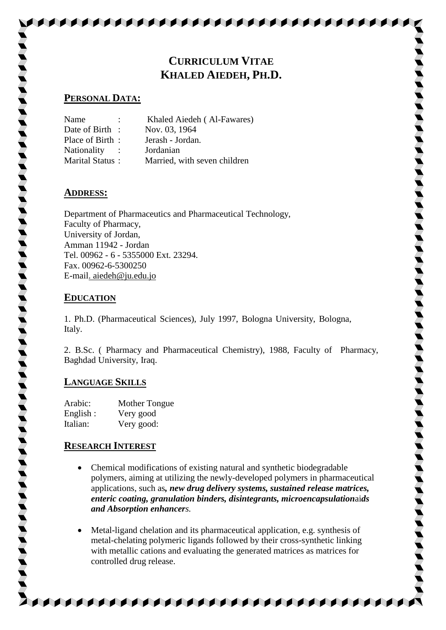# **CURRICULUM VITAE KHALED AIEDEH, PH.D.**

**AAAAAAAAAAAAAAAA** 

## **PERSONAL DATA:**

| $\ddot{\phantom{a}}$   | Khaled Aiedeh (Al-Fawares)   |
|------------------------|------------------------------|
| Date of Birth :        | Nov. 03, 1964                |
| Place of Birth:        | Jerash - Jordan.             |
|                        | Jordanian                    |
| <b>Marital Status:</b> | Married, with seven children |
|                        |                              |

## **ADDRESS:**

Department of Pharmaceutics and Pharmaceutical Technology, Faculty of Pharmacy, University of Jordan, Amman 11942 - Jordan Tel. 00962 - 6 - 5355000 Ext. 23294. Fax. 00962-6-5300250 E-mail. aiedeh@ju.edu.jo

## **EDUCATION**

1. Ph.D. (Pharmaceutical Sciences), July 1997, Bologna University, Bologna, Italy.

2. B.Sc. ( Pharmacy and Pharmaceutical Chemistry), 1988, Faculty of Pharmacy, Baghdad University, Iraq.

# **LANGUAGE SKILLS**

Arabic: Mother Tongue English : Very good Italian: Very good:

## **RESEARCH INTEREST**

- Chemical modifications of existing natural and synthetic biodegradable polymers, aiming at utilizing the newly-developed polymers in pharmaceutical applications, such as*, new drug delivery systems, sustained release matrices, enteric coating, granulation binders, disintegrants, microencapsulation*ai*ds and Absorption enhancers.*
- Metal-ligand chelation and its pharmaceutical application, e.g. synthesis of metal-chelating polymeric ligands followed by their cross-synthetic linking with metallic cations and evaluating the generated matrices as matrices for controlled drug release.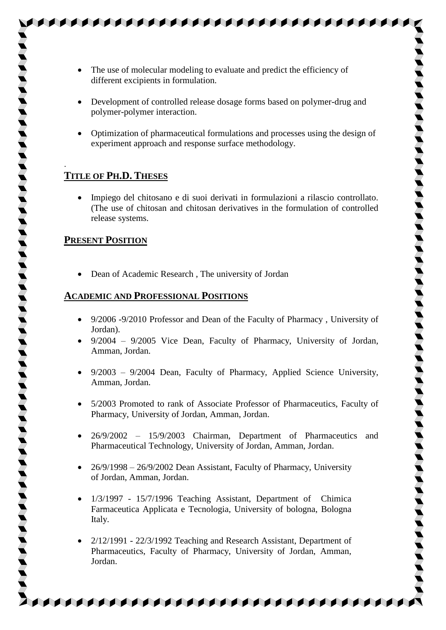- The use of molecular modeling to evaluate and predict the efficiency of different excipients in formulation.
- Development of controlled release dosage forms based on polymer-drug and polymer-polymer interaction.

**SAAAAAAAAAAAAAAAAAAAAAA** 

 Optimization of pharmaceutical formulations and processes using the design of experiment approach and response surface methodology.

# **TITLE OF PH.D. THESES**

.

 Impiego del chitosano e di suoi derivati in formulazioni a rilascio controllato. (The use of chitosan and chitosan derivatives in the formulation of controlled release systems.

## **PRESENT POSITION**

Dean of Academic Research , The university of Jordan

## **ACADEMIC AND PROFESSIONAL POSITIONS**

- 9/2006 -9/2010 Professor and Dean of the Faculty of Pharmacy , University of Jordan).
- $\bullet$  9/2004 9/2005 Vice Dean, Faculty of Pharmacy, University of Jordan, Amman, Jordan.
- $\bullet$  9/2003 9/2004 Dean, Faculty of Pharmacy, Applied Science University, Amman, Jordan.
- 5/2003 Promoted to rank of Associate Professor of Pharmaceutics, Faculty of Pharmacy, University of Jordan, Amman, Jordan.
- 26/9/2002 15/9/2003 Chairman, Department of Pharmaceutics and Pharmaceutical Technology, University of Jordan, Amman, Jordan.
- $\bullet$  26/9/1998 26/9/2002 Dean Assistant, Faculty of Pharmacy, University of Jordan, Amman, Jordan.
- $1/3/1997$   $15/7/1996$  Teaching Assistant, Department of Chimica Farmaceutica Applicata e Tecnologia, University of bologna, Bologna Italy.
- 2/12/1991 22/3/1992 Teaching and Research Assistant, Department of Pharmaceutics, Faculty of Pharmacy, University of Jordan, Amman, Jordan.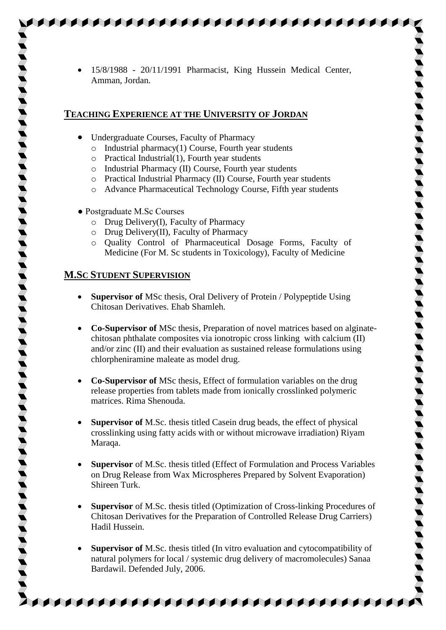15/8/1988 - 20/11/1991 Pharmacist, King Hussein Medical Center, Amman, Jordan.

AAAAAAAAAAAAAAAAA

#### **TEACHING EXPERIENCE AT THE UNIVERSITY OF JORDAN**

- Undergraduate Courses, Faculty of Pharmacy
	- $\circ$  Industrial pharmacy(1) Course, Fourth year students
	- o Practical Industrial(1), Fourth year students
	- o Industrial Pharmacy (II) Course, Fourth year students
	- o Practical Industrial Pharmacy (II) Course, Fourth year students
	- o Advance Pharmaceutical Technology Course, Fifth year students
- Postgraduate M.Sc Courses
	- o Drug Delivery(I), Faculty of Pharmacy
	- o Drug Delivery(II), Faculty of Pharmacy
	- o Quality Control of Pharmaceutical Dosage Forms, Faculty of Medicine (For M. Sc students in Toxicology), Faculty of Medicine

## **M.SC STUDENT SUPERVISION**

- **Supervisor of** MSc thesis, Oral Delivery of Protein / Polypeptide Using Chitosan Derivatives. Ehab Shamleh.
- **Co-Supervisor of** MSc thesis, Preparation of novel matrices based on alginatechitosan phthalate composites via ionotropic cross linking with calcium (II) and/or zinc (II) and their evaluation as sustained release formulations using chlorpheniramine maleate as model drug.
- **Co-Supervisor of** MSc thesis, Effect of formulation variables on the drug release properties from tablets made from ionically crosslinked polymeric matrices. Rima Shenouda.
- **Supervisor of** M.Sc. thesis titled Casein drug beads, the effect of physical crosslinking using fatty acids with or without microwave irradiation) Riyam Maraqa.
- **Supervisor** of M.Sc. thesis titled (Effect of Formulation and Process Variables on Drug Release from Wax Microspheres Prepared by Solvent Evaporation) Shireen Turk.
- **Supervisor** of M.Sc. thesis titled (Optimization of Cross-linking Procedures of Chitosan Derivatives for the Preparation of Controlled Release Drug Carriers) Hadil Hussein.
- **Supervisor of** M.Sc. thesis titled (In vitro evaluation and cytocompatibility of natural polymers for local / systemic drug delivery of macromolecules) Sanaa Bardawil. Defended July, 2006.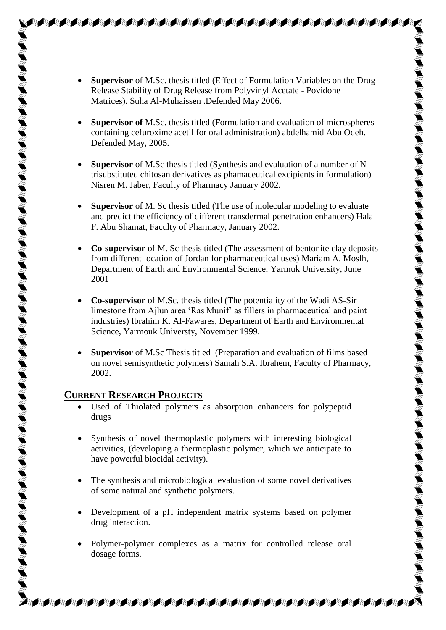- 
- **Supervisor** of M.Sc. thesis titled (Effect of Formulation Variables on the Drug Release Stability of Drug Release from Polyvinyl Acetate - Povidone Matrices). Suha Al-Muhaissen .Defended May 2006.

AAAAAAAAAAAAAAAAA

- **Supervisor of** M.Sc. thesis titled (Formulation and evaluation of microspheres containing cefuroxime acetil for oral administration) abdelhamid Abu Odeh. Defended May, 2005.
- **Supervisor** of M.Sc thesis titled (Synthesis and evaluation of a number of Ntrisubstituted chitosan derivatives as phamaceutical excipients in formulation) Nisren M. Jaber, Faculty of Pharmacy January 2002.
- **Supervisor** of M. Sc thesis titled (The use of molecular modeling to evaluate and predict the efficiency of different transdermal penetration enhancers) Hala F. Abu Shamat, Faculty of Pharmacy, January 2002.
- **Co-supervisor** of M. Sc thesis titled (The assessment of bentonite clay deposits from different location of Jordan for pharmaceutical uses) Mariam A. Moslh, Department of Earth and Environmental Science, Yarmuk University, June 2001
- **Co-supervisor** of M.Sc. thesis titled (The potentiality of the Wadi AS-Sir limestone from Ajlun area 'Ras Munif' as fillers in pharmaceutical and paint industries) Ibrahim K. Al-Fawares, Department of Earth and Environmental Science, Yarmouk Universty, November 1999.
- **Supervisor** of M.Sc Thesis titled (Preparation and evaluation of films based on novel semisynthetic polymers) Samah S.A. Ibrahem, Faculty of Pharmacy, 2002.

## **CURRENT RESEARCH PROJECTS**

- Used of Thiolated polymers as absorption enhancers for polypeptid drugs
- Synthesis of novel thermoplastic polymers with interesting biological activities, (developing a thermoplastic polymer, which we anticipate to have powerful biocidal activity).
- The synthesis and microbiological evaluation of some novel derivatives of some natural and synthetic polymers.
- Development of a pH independent matrix systems based on polymer drug interaction.
- Polymer-polymer complexes as a matrix for controlled release oral dosage forms.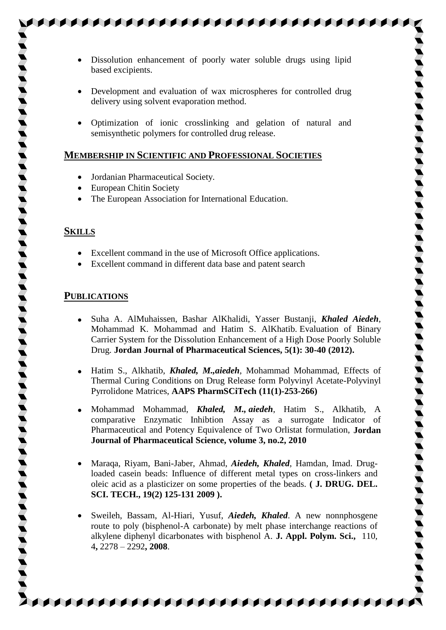Dissolution enhancement of poorly water soluble drugs using lipid based excipients.

\$\$\$\$\$\$\$\$\$\$\$\$\$\$\$\$\$\$\$\$\$\$\$\$\$\$\$

- Development and evaluation of wax microspheres for controlled drug delivery using solvent evaporation method.
- Optimization of ionic crosslinking and gelation of natural and semisynthetic polymers for controlled drug release.

#### **MEMBERSHIP IN SCIENTIFIC AND PROFESSIONAL SOCIETIES**

- Jordanian Pharmaceutical Society.
- European Chitin Society
- The European Association for International Education.

#### **SKILLS**

- Excellent command in the use of Microsoft Office applications.
- Excellent command in different data base and patent search

#### **PUBLICATIONS**

- Suha A. AlMuhaissen, Bashar AlKhalidi, Yasser Bustanji, *Khaled Aiedeh*, Mohammad K. Mohammad and Hatim S. AlKhatib. Evaluation of Binary Carrier System for the Dissolution Enhancement of a High Dose Poorly Soluble Drug. **Jordan Journal of Pharmaceutical Sciences, 5(1): 30-40 (2012).**
- Hatim S., Alkhatib, *Khaled, M.,aiedeh*, Mohammad Mohammad, Effects of Thermal Curing Conditions on Drug Release form Polyvinyl Acetate-Polyvinyl Pyrrolidone Matrices, **AAPS PharmSCiTech (11(1)-253-266)**
- Mohammad Mohammad, *Khaled, M., aiedeh*, Hatim S., Alkhatib, A comparative Enzymatic Inhibtion Assay as a surrogate Indicator of Pharmaceutical and Potency Equivalence of Two Orlistat formulation, **Jordan Journal of Pharmaceutical Science, volume 3, no.2, 2010**
- Maraqa, Riyam, Bani-Jaber, Ahmad, *Aiedeh, Khaled*, Hamdan, Imad. Drugloaded casein beads: Influence of different metal types on cross-linkers and oleic acid as a plasticizer on some properties of the beads. **( J. DRUG. DEL. SCI. TECH., 19(2) 125-131 2009 ).**
- Sweileh, Bassam, Al-Hiari, Yusuf, *Aiedeh, Khaled*. A new nonnphosgene route to poly (bisphenol-A carbonate) by melt phase interchange reactions of alkylene diphenyl dicarbonates with bisphenol A. **J. Appl. Polym. Sci.,** [110,](http://www3.interscience.wiley.com/journal/121389697/issue)  [4](http://www3.interscience.wiley.com/journal/121389697/issue)**,** 2278 – 2292**, 2008**.

**AAAAAAAAAAAAAAAAAAAAAAAAA**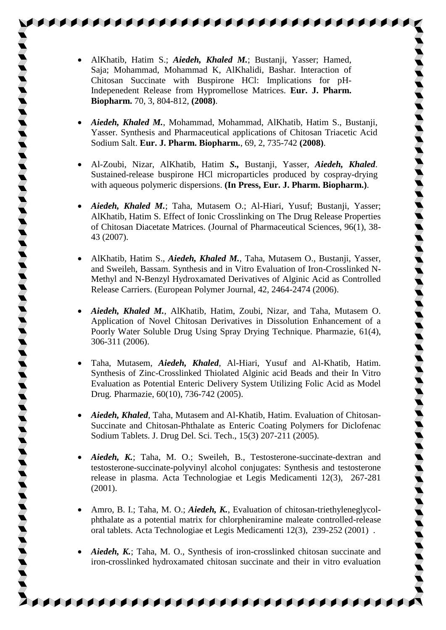AlKhatib, Hatim S.; *Aiedeh, Khaled M.*; Bustanji, Yasser; Hamed, Saja; Mohammad, Mohammad K, AlKhalidi, Bashar. Interaction of Chitosan Succinate with Buspirone HCl: Implications for pH-Indepenedent Release from Hypromellose Matrices. **Eur. J. Pharm. Biopharm.** 70, 3, 804-812, **(2008)**.

- *Aiedeh, Khaled M.*, Mohammad, Mohammad, AlKhatib, Hatim S., Bustanji, Yasser. Synthesis and Pharmaceutical applications of Chitosan Triacetic Acid Sodium Salt. **Eur. J. Pharm. Biopharm.**, 69, 2, 735-742 **(2008)**.
- Al-Zoubi, Nizar, AlKhatib, Hatim *S.,* Bustanji, Yasser, *Aiedeh, Khaled*. Sustained-release buspirone HCl microparticles produced by cospray-drying with aqueous polymeric dispersions. **(In Press, Eur. J. Pharm. Biopharm.)**.
- *Aiedeh, Khaled M.*; Taha, Mutasem O.; Al-Hiari, Yusuf; Bustanji, Yasser; AlKhatib, Hatim S. Effect of Ionic Crosslinking on The Drug Release Properties of Chitosan Diacetate Matrices. (Journal of Pharmaceutical Sciences, 96(1), 38- 43 (2007).
- AlKhatib, Hatim S., *Aiedeh, Khaled M.*, Taha, Mutasem O., Bustanji, Yasser, and Sweileh, Bassam. Synthesis and in Vitro Evaluation of Iron-Crosslinked N-Methyl and N-Benzyl Hydroxamated Derivatives of Alginic Acid as Controlled Release Carriers. (European Polymer Journal, 42, 2464-2474 (2006).
- *Aiedeh, Khaled M.*, AlKhatib, Hatim, Zoubi, Nizar, and Taha, Mutasem O. Application of Novel Chitosan Derivatives in Dissolution Enhancement of a Poorly Water Soluble Drug Using Spray Drying Technique. Pharmazie, 61(4), 306-311 (2006).
- Taha, Mutasem, *Aiedeh, Khaled*, Al-Hiari, Yusuf and Al-Khatib, Hatim. Synthesis of Zinc-Crosslinked Thiolated Alginic acid Beads and their In Vitro Evaluation as Potential Enteric Delivery System Utilizing Folic Acid as Model Drug. Pharmazie, 60(10), 736-742 (2005).
- *Aiedeh, Khaled*, Taha, Mutasem and Al-Khatib, Hatim. Evaluation of Chitosan-Succinate and Chitosan-Phthalate as Enteric Coating Polymers for Diclofenac Sodium Tablets. J. Drug Del. Sci. Tech., 15(3) 207-211 (2005).
- *Aiedeh, K.*; Taha, M. O.; Sweileh, B., Testosterone-succinate-dextran and testosterone-succinate-polyvinyl alcohol conjugates: Synthesis and testosterone release in plasma. Acta Technologiae et Legis Medicamenti 12(3), 267-281 (2001).
- Amro, B. I.; Taha, M. O.; *Aiedeh, K.*, Evaluation of chitosan-triethyleneglycolphthalate as a potential matrix for chlorpheniramine maleate controlled-release oral tablets. Acta Technologiae et Legis Medicamenti 12(3), 239-252 (2001) .
- *Aiedeh, K.*; Taha, M. O., Synthesis of iron-crosslinked chitosan succinate and iron-crosslinked hydroxamated chitosan succinate and their in vitro evaluation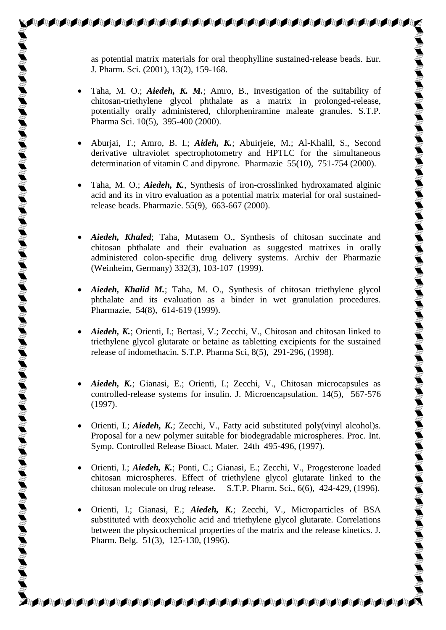as potential matrix materials for oral theophylline sustained-release beads. Eur. J. Pharm. Sci. (2001), 13(2), 159-168.

**AAAAAAAAAAAAAAAAAAAAAAAA** 

- Taha, M. O.; *Aiedeh, K. M.*; Amro, B., Investigation of the suitability of chitosan-triethylene glycol phthalate as a matrix in prolonged-release, potentially orally administered, chlorpheniramine maleate granules. S.T.P. Pharma Sci. 10(5), 395-400 (2000).
- Aburjai, T.; Amro, B. I.; *Aideh, K.*; Abuirjeie, M.; Al-Khalil, S., Second derivative ultraviolet spectrophotometry and HPTLC for the simultaneous determination of vitamin C and dipyrone. Pharmazie 55(10), 751-754 (2000).
- Taha, M. O.; *Aiedeh, K.*, Synthesis of iron-crosslinked hydroxamated alginic acid and its in vitro evaluation as a potential matrix material for oral sustainedrelease beads. Pharmazie. 55(9), 663-667 (2000).
- *Aiedeh, Khaled*; Taha, Mutasem O., Synthesis of chitosan succinate and chitosan phthalate and their evaluation as suggested matrixes in orally administered colon-specific drug delivery systems. Archiv der Pharmazie (Weinheim, Germany) 332(3), 103-107 (1999).
- *Aiedeh, Khalid M.*; Taha, M. O., Synthesis of chitosan triethylene glycol phthalate and its evaluation as a binder in wet granulation procedures. Pharmazie, 54(8), 614-619 (1999).
- *Aiedeh, K.*; Orienti, I.; Bertasi, V.; Zecchi, V., Chitosan and chitosan linked to triethylene glycol glutarate or betaine as tabletting excipients for the sustained release of indomethacin. S.T.P. Pharma Sci, 8(5), 291-296, (1998).
- *Aiedeh, K.*; Gianasi, E.; Orienti, I.; Zecchi, V., Chitosan microcapsules as controlled-release systems for insulin. J. Microencapsulation. 14(5), 567-576 (1997).
- Orienti, I.; *Aiedeh, K.*; Zecchi, V., Fatty acid substituted poly(vinyl alcohol)s. Proposal for a new polymer suitable for biodegradable microspheres. Proc. Int. Symp. Controlled Release Bioact. Mater. 24th 495-496, (1997).
- Orienti, I.; *Aiedeh, K.*; Ponti, C.; Gianasi, E.; Zecchi, V., Progesterone loaded chitosan microspheres. Effect of triethylene glycol glutarate linked to the chitosan molecule on drug release. S.T.P. Pharm. Sci., 6(6), 424-429, (1996).
- Orienti, I.; Gianasi, E.; *Aiedeh, K.*; Zecchi, V., Microparticles of BSA substituted with deoxycholic acid and triethylene glycol glutarate. Correlations between the physicochemical properties of the matrix and the release kinetics. J. Pharm. Belg. 51(3), 125-130, (1996).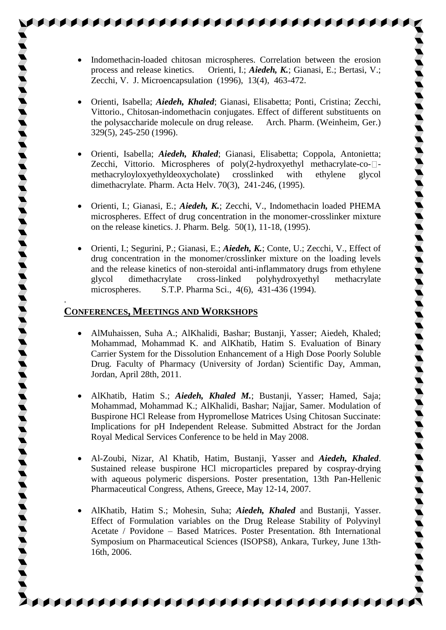Indomethacin-loaded chitosan microspheres. Correlation between the erosion process and release kinetics. Orienti, I.; *Aiedeh, K.*; Gianasi, E.; Bertasi, V.; Zecchi, V. J. Microencapsulation (1996), 13(4), 463-472.

**AAAAAAAAAAAAAAAAAAAAAA** 

- Orienti, Isabella; *Aiedeh, Khaled*; Gianasi, Elisabetta; Ponti, Cristina; Zecchi, Vittorio., Chitosan-indomethacin conjugates. Effect of different substituents on the polysaccharide molecule on drug release. Arch. Pharm. (Weinheim, Ger.) 329(5), 245-250 (1996).
- Orienti, Isabella; *Aiedeh, Khaled*; Gianasi, Elisabetta; Coppola, Antonietta; Zecchi, Vittorio. Microspheres of poly(2-hydroxyethyl methacrylate-co- $\Box$ methacryloyloxyethyldeoxycholate) crosslinked with ethylene glycol dimethacrylate. Pharm. Acta Helv. 70(3), 241-246, (1995).
- Orienti, I.; Gianasi, E.; *Aiedeh, K.*; Zecchi, V., Indomethacin loaded PHEMA microspheres. Effect of drug concentration in the monomer-crosslinker mixture on the release kinetics. J. Pharm. Belg. 50(1), 11-18, (1995).
- Orienti, I.; Segurini, P.; Gianasi, E.; *Aiedeh, K.*; Conte, U.; Zecchi, V., Effect of drug concentration in the monomer/crosslinker mixture on the loading levels and the release kinetics of non-steroidal anti-inflammatory drugs from ethylene glycol dimethacrylate cross-linked polyhydroxyethyl methacrylate microspheres. S.T.P. Pharma Sci., 4(6), 431-436 (1994).

## **CONFERENCES, MEETINGS AND WORKSHOPS**

.

- AlMuhaissen, Suha A.; AlKhalidi, Bashar; Bustanji, Yasser; Aiedeh, Khaled; Mohammad, Mohammad K. and AlKhatib, Hatim S. Evaluation of Binary Carrier System for the Dissolution Enhancement of a High Dose Poorly Soluble Drug. Faculty of Pharmacy (University of Jordan) Scientific Day, Amman, Jordan, April 28th, 2011.
- AlKhatib, Hatim S.; *Aiedeh, Khaled M.*; Bustanji, Yasser; Hamed, Saja; Mohammad, Mohammad K.; AlKhalidi, Bashar; Najjar, Samer. Modulation of Buspirone HCl Release from Hypromellose Matrices Using Chitosan Succinate: Implications for pH Independent Release. Submitted Abstract for the Jordan Royal Medical Services Conference to be held in May 2008.
- Al-Zoubi, Nizar, Al Khatib, Hatim, Bustanji, Yasser and *Aiedeh, Khaled*. Sustained release buspirone HCl microparticles prepared by cospray-drying with aqueous polymeric dispersions. Poster presentation, 13th Pan-Hellenic Pharmaceutical Congress, Athens, Greece, May 12-14, 2007.
- AlKhatib, Hatim S.; Mohesin, Suha; *Aiedeh, Khaled* and Bustanji, Yasser. Effect of Formulation variables on the Drug Release Stability of Polyvinyl Acetate / Povidone – Based Matrices. Poster Presentation. 8th International Symposium on Pharmaceutical Sciences (ISOPS8), Ankara, Turkey, June 13th-16th, 2006.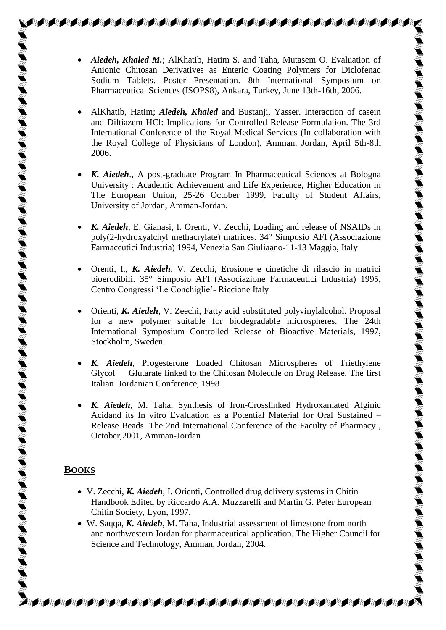*Aiedeh, Khaled M.*; AlKhatib, Hatim S. and Taha, Mutasem O. Evaluation of Anionic Chitosan Derivatives as Enteric Coating Polymers for Diclofenac Sodium Tablets. Poster Presentation. 8th International Symposium on Pharmaceutical Sciences (ISOPS8), Ankara, Turkey, June 13th-16th, 2006.

**AAAAAAAAAAAAAAAAAAAAA** 

- AlKhatib, Hatim; *Aiedeh, Khaled* and Bustanji, Yasser. Interaction of casein and Diltiazem HCl: Implications for Controlled Release Formulation. The 3rd International Conference of the Royal Medical Services (In collaboration with the Royal College of Physicians of London), Amman, Jordan, April 5th-8th 2006.
- *K. Aiedeh*., A post-graduate Program In Pharmaceutical Sciences at Bologna University : Academic Achievement and Life Experience, Higher Education in The European Union, 25-26 October 1999, Faculty of Student Affairs, University of Jordan, Amman-Jordan.
- *K. Aiedeh*, E. Gianasi, I. Orenti, V. Zecchi, Loading and release of NSAIDs in poly(2-hydroxyalchyl methacrylate) matrices. 34° Simposio AFI (Associazione Farmaceutici Industria) 1994, Venezia San Giuliaano-11-13 Maggio, Italy
- Orenti, I., *K. Aiedeh*, V. Zecchi, Erosione e cinetiche di rilascio in matrici bioerodibili. 35° Simposio AFI (Associazione Farmaceutici Industria) 1995, Centro Congressi 'Le Conchiglie'- Riccione Italy
- Orienti, *K. Aiedeh*, V. Zeechi, Fatty acid substituted polyvinylalcohol. Proposal for a new polymer suitable for biodegradable microspheres. The 24th International Symposium Controlled Release of Bioactive Materials, 1997, Stockholm, Sweden.
- *K. Aiedeh*, Progesterone Loaded Chitosan Microspheres of Triethylene Glycol Glutarate linked to the Chitosan Molecule on Drug Release. The first Italian Jordanian Conference, 1998
- *K. Aiedeh*, M. Taha, Synthesis of Iron-Crosslinked Hydroxamated Alginic Acidand its In vitro Evaluation as a Potential Material for Oral Sustained – Release Beads. The 2nd International Conference of the Faculty of Pharmacy , October,2001, Amman-Jordan

## **BOOKS**

- V. Zecchi, *K. Aiedeh*, I. Orienti, Controlled drug delivery systems in Chitin Handbook Edited by Riccardo A.A. Muzzarelli and Martin G. Peter European Chitin Society, Lyon, 1997.
- W. Saqqa, *K. Aiedeh*, M. Taha, Industrial assessment of limestone from north and northwestern Jordan for pharmaceutical application. The Higher Council for Science and Technology, Amman, Jordan, 2004.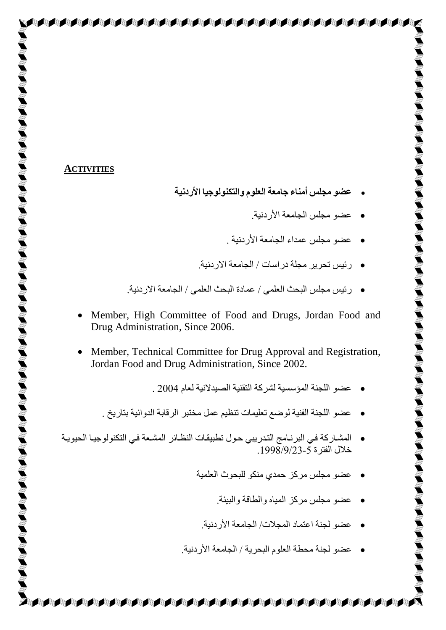#### **ACTIVITIES**

- **عضو مجلس أمناء جامعة العلوم والتكنولوجيا األردنية**
	- **•** عضو مجلس الجامعة الأردنبة
	- **•** عضو مجلس عمداء الجامعة الأر دنبة .
	- رئيس تحرير مجلّة در اسات / الجامعة الاردنية.
- رئٍس هزلس الجحج العلوً / عوبدح الجحج العلوً / الزبهعخ االردًٍخ.
- Member, High Committee of Food and Drugs, Jordan Food and Drug Administration, Since 2006.
- Member, Technical Committee for Drug Approval and Registration, Jordan Food and Drug Administration, Since 2002.
	- عضى اللزٌخ الوؤسسٍخ لشركخ التمٌٍخ الصٍذالًٍخ لعبم 2004 .
	- عضو اللجنة الفنية لو ضع تعليمات تنظيم عمل مختبر الر قابة الدو ائية بتار يخ .
- المشـاركة فـي البرنـامج التدريبي حـول تطبيقـات النظـائر المشـعة فـي التكنولوجيـا الحيويـة خالا الفترح .1998/9/23-5
	- ه عضو مجلس مركز حمدي منكو للبحوث العلمية
		- عضى هزلس هركس الوٍبٍ والظبلخ والجٍئخ.
		- ه حضو لجنة اعتماد المجلات/ الجامعة الأردنية.
	- عضو لجنة محطة العلوم البحرية / الجامعة الأر دنية.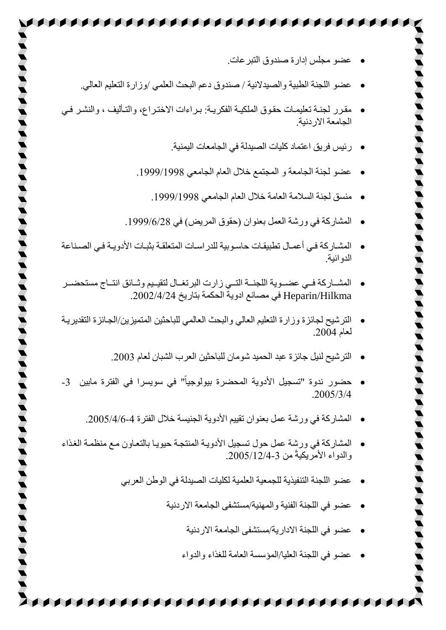- عضو مجلس إدارة صندوق التبر عات.
- عضو اللجنة الطبية والصيدلانية / صندوق دعم البحث العلمي /وزارة التعليم العالي.
- مقرر لجنة تعليمـات حقوق الملكيـة الفكريـة: بـراءات الاختـراع، والتـأليف ، والنشـر فـي الحامعة الار دنبة

AAAAAAAAAAAAAAAAAA

- رئيس فريق اعتماد كليات الصيدلة في الجامعات اليمنية<sub>.</sub>
- عضو لجنة الجامعة و المجتمع خلال العام الجامعي 1999/1998.
	- ه منسق لجنة السلامة العامة خلال العام الجامعي 1999/1998.
- الوشبركخ ً ورشخ العول ثعٌىاى )قمىق الورٌض( ً .1999/6/28
- المشـار كة فـي أعمـال تطبيقـات حاسـو بية للدر اسـات المتعلقـة بثبـات الأدو يــة فـي الصـنـاعة الدو ائية
- المشساركة فسى عضسوية اللجنسة التسى زارت البرتغـال لتقيـيم وشـائق انتــاج مستحضــر Heparin/Hilkma في مصـانع ادوية الحكمة بتاريخ 2002/4/24.
- التر شيح لجائز ة وزار ة التعليم العالي والبحث العالمي للباحثين المتميز ين/الجبائز ة التقدير يـة لعبم .2004
	- الترشيح لنيل جائز ة عبد الحميد شومان للباحثين العرب الشبان لعام 2003.
- حضور ندوة "تسجيل الأدوية المحضرة بيولوجياً" في سويسرا في الفترة مابين 3-.2005/3/4
	- المشاركة في ورشة عمل بعنوان تقييم الأدوية الجنيسة خلال الفترة 4-1/5/4/6.

**A A BASA SA BAGA SA BAGA SA BAGA SA BAGA SA BAGA** 

- المشاركة في ورشة عمل حول تسجيل الأدوية المنتجة حيويا بالتعاون مع منظمة الغذاء والدواء الأمر بكيةً من 3-2005/12/4-
	- عضو اللجنة التنفيذية للجمعية العلمية لكليات الصيدلة في الوطن العربي
		- عضو في اللجنة الفنية والمهنية/مستشفى الجامعة الاردنية
			- عضو في اللجنة الإدار بة/مستشفى الجامعة الإر دنبة
			- عضى ً اللزٌخ العلٍب/الوؤسسخ العبهخ للق اء والذواء